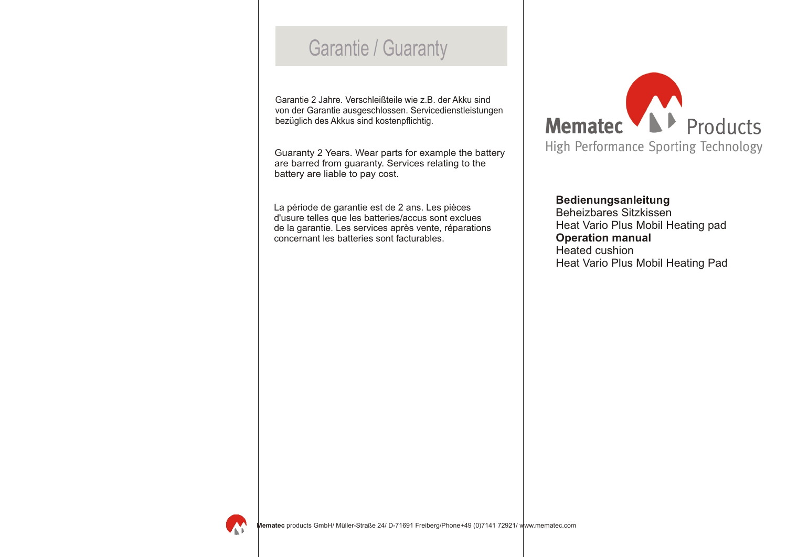# Garantie / Guaranty

Garantie 2 Jahre. Verschleißteile wie z.B. der Akku sind von der Garantie ausgeschlossen. Servicedienstleistungen bezüglich des Akkus sind kostenpflichtig.

Guaranty 2 Years. Wear parts for example the battery are barred from guaranty. Services relating to the battery are liable to pay cost.

La période de garantie est de 2 ans. Les pièces d'usure telles que les batteries/accus sont exclues de la garantie. Les services après vente, réparations concernant les batteries sont facturables.



**Bedienungsanleitung** Beheizbares Sitzkissen Heat Vario Plus Mobil Heating pad **Operation manual**  Heated cushion Heat Vario Plus Mobil Heating Pad